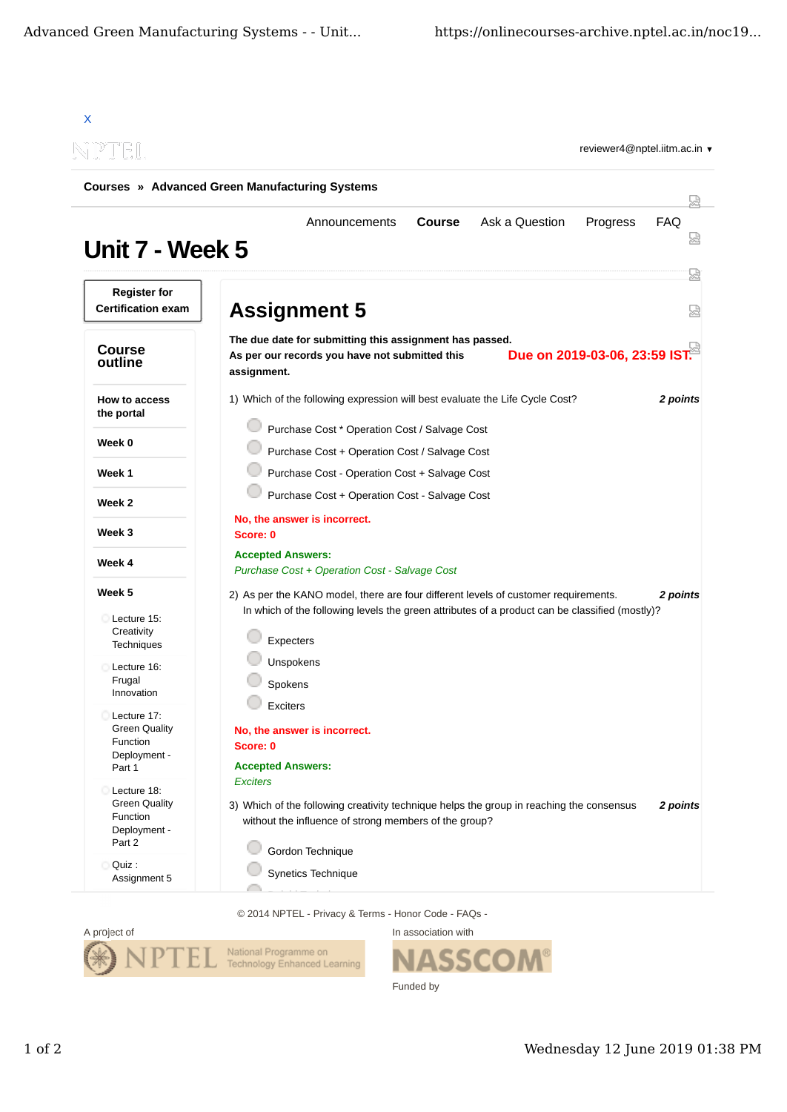

© 2014 NPTEL - Privacy & Terms - Honor Code - FAQs -